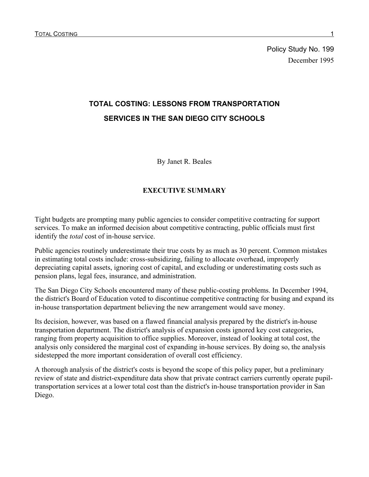Policy Study No. 199 December 1995

# **TOTAL COSTING: LESSONS FROM TRANSPORTATION SERVICES IN THE SAN DIEGO CITY SCHOOLS**

By Janet R. Beales

#### **EXECUTIVE SUMMARY**

Tight budgets are prompting many public agencies to consider competitive contracting for support services. To make an informed decision about competitive contracting, public officials must first identify the *total* cost of in-house service.

Public agencies routinely underestimate their true costs by as much as 30 percent. Common mistakes in estimating total costs include: cross-subsidizing, failing to allocate overhead, improperly depreciating capital assets, ignoring cost of capital, and excluding or underestimating costs such as pension plans, legal fees, insurance, and administration.

The San Diego City Schools encountered many of these public-costing problems. In December 1994, the district's Board of Education voted to discontinue competitive contracting for busing and expand its in-house transportation department believing the new arrangement would save money.

Its decision, however, was based on a flawed financial analysis prepared by the district's in-house transportation department. The district's analysis of expansion costs ignored key cost categories, ranging from property acquisition to office supplies. Moreover, instead of looking at total cost, the analysis only considered the marginal cost of expanding in-house services. By doing so, the analysis sidestepped the more important consideration of overall cost efficiency.

A thorough analysis of the district's costs is beyond the scope of this policy paper, but a preliminary review of state and district-expenditure data show that private contract carriers currently operate pupiltransportation services at a lower total cost than the district's in-house transportation provider in San Diego.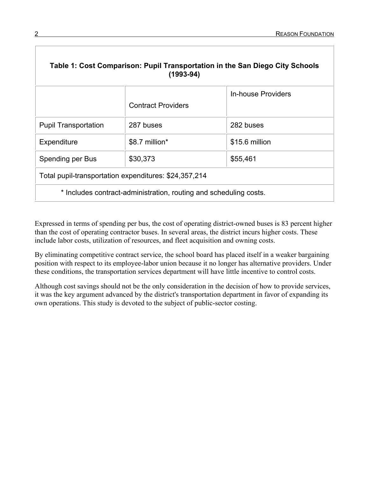| Table 1: Cost Comparison: Pupil Transportation in the San Diego City Schools<br>$(1993 - 94)$ |                           |                    |  |
|-----------------------------------------------------------------------------------------------|---------------------------|--------------------|--|
|                                                                                               | <b>Contract Providers</b> | In-house Providers |  |
| <b>Pupil Transportation</b>                                                                   | 287 buses                 | 282 buses          |  |
| Expenditure                                                                                   | \$8.7 million*            | \$15.6 million     |  |
| Spending per Bus                                                                              | \$30,373                  | \$55,461           |  |
| Total pupil-transportation expenditures: \$24,357,214                                         |                           |                    |  |
| * Includes contract-administration, routing and scheduling costs.                             |                           |                    |  |

Expressed in terms of spending per bus, the cost of operating district-owned buses is 83 percent higher than the cost of operating contractor buses. In several areas, the district incurs higher costs. These include labor costs, utilization of resources, and fleet acquisition and owning costs.

By eliminating competitive contract service, the school board has placed itself in a weaker bargaining position with respect to its employee-labor union because it no longer has alternative providers. Under these conditions, the transportation services department will have little incentive to control costs.

Although cost savings should not be the only consideration in the decision of how to provide services, it was the key argument advanced by the district's transportation department in favor of expanding its own operations. This study is devoted to the subject of public-sector costing.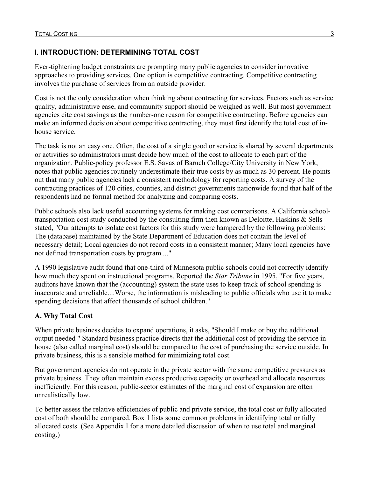### **I. INTRODUCTION: DETERMINING TOTAL COST**

Ever-tightening budget constraints are prompting many public agencies to consider innovative approaches to providing services. One option is competitive contracting. Competitive contracting involves the purchase of services from an outside provider.

Cost is not the only consideration when thinking about contracting for services. Factors such as service quality, administrative ease, and community support should be weighed as well. But most government agencies cite cost savings as the number-one reason for competitive contracting. Before agencies can make an informed decision about competitive contracting, they must first identify the total cost of inhouse service.

The task is not an easy one. Often, the cost of a single good or service is shared by several departments or activities so administrators must decide how much of the cost to allocate to each part of the organization. Public-policy professor E.S. Savas of Baruch College/City University in New York, notes that public agencies routinely underestimate their true costs by as much as 30 percent. He points out that many public agencies lack a consistent methodology for reporting costs. A survey of the contracting practices of 120 cities, counties, and district governments nationwide found that half of the respondents had no formal method for analyzing and comparing costs.

Public schools also lack useful accounting systems for making cost comparisons. A California schooltransportation cost study conducted by the consulting firm then known as Deloitte, Haskins & Sells stated, "Our attempts to isolate cost factors for this study were hampered by the following problems: The (database) maintained by the State Department of Education does not contain the level of necessary detail; Local agencies do not record costs in a consistent manner; Many local agencies have not defined transportation costs by program...."

A 1990 legislative audit found that one-third of Minnesota public schools could not correctly identify how much they spent on instructional programs. Reported the *Star Tribune* in 1995, "For five years, auditors have known that the (accounting) system the state uses to keep track of school spending is inaccurate and unreliable....Worse, the information is misleading to public officials who use it to make spending decisions that affect thousands of school children."

### **A. Why Total Cost**

When private business decides to expand operations, it asks, "Should I make or buy the additional output needed " Standard business practice directs that the additional cost of providing the service inhouse (also called marginal cost) should be compared to the cost of purchasing the service outside. In private business, this is a sensible method for minimizing total cost.

But government agencies do not operate in the private sector with the same competitive pressures as private business. They often maintain excess productive capacity or overhead and allocate resources inefficiently. For this reason, public-sector estimates of the marginal cost of expansion are often unrealistically low.

To better assess the relative efficiencies of public and private service, the total cost or fully allocated cost of both should be compared. Box 1 lists some common problems in identifying total or fully allocated costs. (See Appendix I for a more detailed discussion of when to use total and marginal costing.)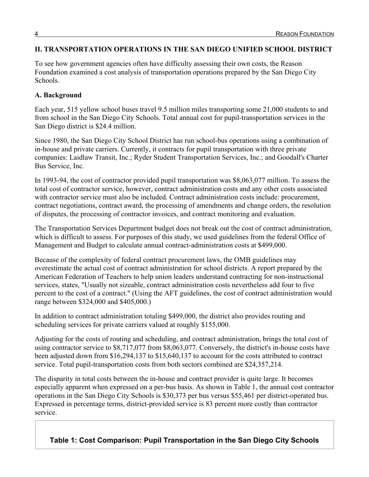#### **II. TRANSPORTATION OPERATIONS IN THE SAN DIEGO UNIFIED SCHOOL DISTRICT**

To see how government agencies often have difficulty assessing their own costs, the Reason Foundation examined a cost analysis of transportation operations prepared by the San Diego City Schools.

#### **A. Background**

Each year, 515 yellow school buses travel 9.5 million miles transporting some 21,000 students to and from school in the San Diego City Schools. Total annual cost for pupil-transportation services in the San Diego district is \$24.4 million.

Since 1980, the San Diego City School District has run school-bus operations using a combination of in-house and private carriers. Currently, it contracts for pupil transportation with three private companies: Laidlaw Transit, Inc.; Ryder Student Transportation Services, Inc.; and Goodall's Charter Bus Service, Inc.

In 1993-94, the cost of contractor provided pupil transportation was \$8,063,077 million. To assess the total cost of contractor service, however, contract administration costs and any other costs associated with contractor service must also be included. Contract administration costs include: procurement, contract negotiations, contract award, the processing of amendments and change orders, the resolution of disputes, the processing of contractor invoices, and contract monitoring and evaluation.

The Transportation Services Department budget does not break out the cost of contract administration, which is difficult to assess. For purposes of this study, we used guidelines from the federal Office of Management and Budget to calculate annual contract-administration costs at \$499,000.

Because of the complexity of federal contract procurement laws, the OMB guidelines may overestimate the actual cost of contract administration for school districts. A report prepared by the American Federation of Teachers to help union leaders understand contracting for non-instructional services, states, "Usually not sizeable, contract administration costs nevertheless add four to five percent to the cost of a contract." (Using the AFT guidelines, the cost of contract administration would range between \$324,000 and \$405,000.)

In addition to contract administration totaling \$499,000, the district also provides routing and scheduling services for private carriers valued at roughly \$155,000.

Adjusting for the costs of routing and scheduling, and contract administration, brings the total cost of using contractor service to \$8,717,077 from \$8,063,077. Conversely, the district's in-house costs have been adjusted down from \$16,294,137 to \$15,640,137 to account for the costs attributed to contract service. Total pupil-transportation costs from both sectors combined are \$24,357,214.

The disparity in total costs between the in-house and contract provider is quite large. It becomes especially apparent when expressed on a per-bus basis. As shown in Table 1, the annual cost contractor operations in the San Diego City Schools is \$30,373 per bus versus \$55,461 per district-operated bus. Expressed in percentage terms, district-provided service is 83 percent more costly than contractor service.

**Table 1: Cost Comparison: Pupil Transportation in the San Diego City Schools**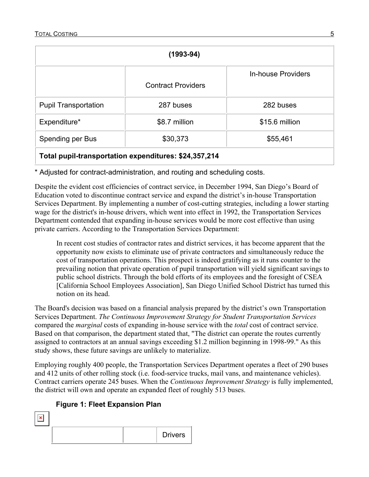| (1993-94)                                             |                           |                           |  |
|-------------------------------------------------------|---------------------------|---------------------------|--|
|                                                       | <b>Contract Providers</b> | <b>In-house Providers</b> |  |
| <b>Pupil Transportation</b>                           | 287 buses                 | 282 buses                 |  |
| Expenditure*                                          | \$8.7 million             | \$15.6 million            |  |
| Spending per Bus                                      | \$30,373                  | \$55,461                  |  |
| Total pupil-transportation expenditures: \$24,357,214 |                           |                           |  |

\* Adjusted for contract-administration, and routing and scheduling costs.

Despite the evident cost efficiencies of contract service, in December 1994, San Diego's Board of Education voted to discontinue contract service and expand the district's in-house Transportation Services Department. By implementing a number of cost-cutting strategies, including a lower starting wage for the district's in-house drivers, which went into effect in 1992, the Transportation Services Department contended that expanding in-house services would be more cost effective than using private carriers. According to the Transportation Services Department:

In recent cost studies of contractor rates and district services, it has become apparent that the opportunity now exists to eliminate use of private contractors and simultaneously reduce the cost of transportation operations. This prospect is indeed gratifying as it runs counter to the prevailing notion that private operation of pupil transportation will yield significant savings to public school districts. Through the bold efforts of its employees and the foresight of CSEA [California School Employees Association], San Diego Unified School District has turned this notion on its head.

The Board's decision was based on a financial analysis prepared by the district's own Transportation Services Department. *The Continuous Improvement Strategy for Student Transportation Services*  compared the *marginal* costs of expanding in-house service with the *total* cost of contract service. Based on that comparison, the department stated that, "The district can operate the routes currently assigned to contractors at an annual savings exceeding \$1.2 million beginning in 1998-99." As this study shows, these future savings are unlikely to materialize.

Employing roughly 400 people, the Transportation Services Department operates a fleet of 290 buses and 412 units of other rolling stock (i.e. food-service trucks, mail vans, and maintenance vehicles). Contract carriers operate 245 buses. When the *Continuous Improvement Strategy* is fully implemented, the district will own and operate an expanded fleet of roughly 513 buses.

### **Figure 1: Fleet Expansion Plan**

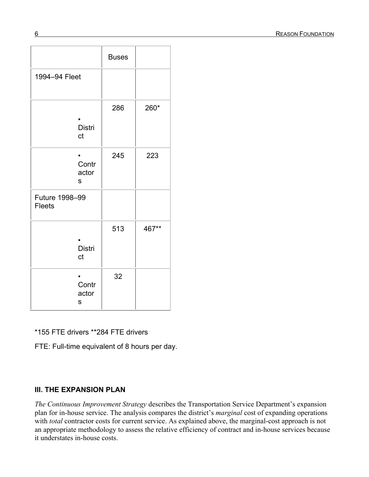|                                 | <b>Buses</b> |       |
|---------------------------------|--------------|-------|
| 1994-94 Fleet                   |              |       |
| <b>Distri</b><br>ct             | 286          | 260*  |
| Contr<br>actor<br>S             | 245          | 223   |
| Future 1998-99<br><b>Fleets</b> |              |       |
| <b>Distri</b><br>ct             | 513          | 467** |
| Contr<br>actor<br>S             | 32           |       |

\*155 FTE drivers \*\*284 FTE drivers

FTE: Full-time equivalent of 8 hours per day.

#### **III. THE EXPANSION PLAN**

*The Continuous Improvement Strategy* describes the Transportation Service Department's expansion plan for in-house service. The analysis compares the district's *marginal* cost of expanding operations with *total* contractor costs for current service. As explained above, the marginal-cost approach is not an appropriate methodology to assess the relative efficiency of contract and in-house services because it understates in-house costs.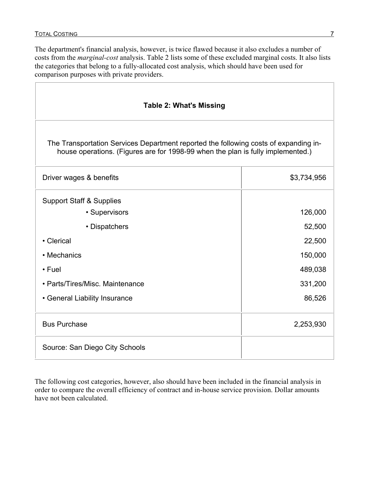$\Gamma$ 

The department's financial analysis, however, is twice flawed because it also excludes a number of costs from the *marginal-cost* analysis. Table 2 lists some of these excluded marginal costs. It also lists the categories that belong to a fully-allocated cost analysis, which should have been used for comparison purposes with private providers.

| <b>Table 2: What's Missing</b>                                                                                                                                          |             |  |  |
|-------------------------------------------------------------------------------------------------------------------------------------------------------------------------|-------------|--|--|
| The Transportation Services Department reported the following costs of expanding in-<br>house operations. (Figures are for 1998-99 when the plan is fully implemented.) |             |  |  |
| Driver wages & benefits                                                                                                                                                 | \$3,734,956 |  |  |
| <b>Support Staff &amp; Supplies</b>                                                                                                                                     |             |  |  |
| • Supervisors                                                                                                                                                           | 126,000     |  |  |
| • Dispatchers                                                                                                                                                           | 52,500      |  |  |
| • Clerical                                                                                                                                                              | 22,500      |  |  |
| • Mechanics                                                                                                                                                             | 150,000     |  |  |
| $\cdot$ Fuel                                                                                                                                                            | 489,038     |  |  |
| • Parts/Tires/Misc. Maintenance                                                                                                                                         | 331,200     |  |  |
| • General Liability Insurance                                                                                                                                           | 86,526      |  |  |
| <b>Bus Purchase</b>                                                                                                                                                     | 2,253,930   |  |  |
| Source: San Diego City Schools                                                                                                                                          |             |  |  |

The following cost categories, however, also should have been included in the financial analysis in order to compare the overall efficiency of contract and in-house service provision. Dollar amounts have not been calculated.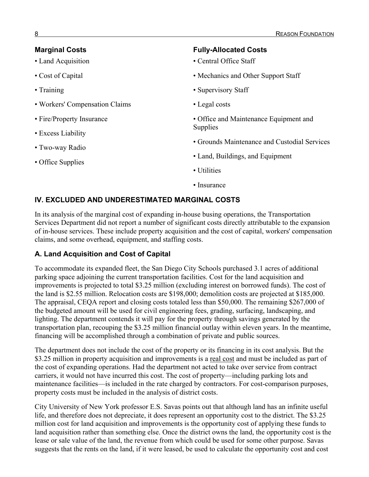| <b>Marginal Costs</b><br>• Land Acquisition | <b>Fully-Allocated Costs</b><br>• Central Office Staff |  |
|---------------------------------------------|--------------------------------------------------------|--|
| • Cost of Capital                           | • Mechanics and Other Support Staff                    |  |
| $\cdot$ Training                            | • Supervisory Staff                                    |  |
| • Workers' Compensation Claims              | • Legal costs                                          |  |
| • Fire/Property Insurance                   | • Office and Maintenance Equipment and                 |  |
| • Excess Liability                          | <b>Supplies</b>                                        |  |
| • Two-way Radio                             | • Grounds Maintenance and Custodial Services           |  |
| • Office Supplies                           | • Land, Buildings, and Equipment                       |  |
|                                             | • Utilities                                            |  |
|                                             | • Insurance                                            |  |

### **IV. EXCLUDED AND UNDERESTIMATED MARGINAL COSTS**

In its analysis of the marginal cost of expanding in-house busing operations, the Transportation Services Department did not report a number of significant costs directly attributable to the expansion of in-house services. These include property acquisition and the cost of capital, workers' compensation claims, and some overhead, equipment, and staffing costs.

#### **A. Land Acquisition and Cost of Capital**

To accommodate its expanded fleet, the San Diego City Schools purchased 3.1 acres of additional parking space adjoining the current transportation facilities. Cost for the land acquisition and improvements is projected to total \$3.25 million (excluding interest on borrowed funds). The cost of the land is \$2.55 million. Relocation costs are \$198,000; demolition costs are projected at \$185,000. The appraisal, CEQA report and closing costs totaled less than \$50,000. The remaining \$267,000 of the budgeted amount will be used for civil engineering fees, grading, surfacing, landscaping, and lighting. The department contends it will pay for the property through savings generated by the transportation plan, recouping the \$3.25 million financial outlay within eleven years. In the meantime, financing will be accomplished through a combination of private and public sources.

The department does not include the cost of the property or its financing in its cost analysis. But the \$3.25 million in property acquisition and improvements is a real cost and must be included as part of the cost of expanding operations. Had the department not acted to take over service from contract carriers, it would not have incurred this cost. The cost of property—including parking lots and maintenance facilities—is included in the rate charged by contractors. For cost-comparison purposes, property costs must be included in the analysis of district costs.

City University of New York professor E.S. Savas points out that although land has an infinite useful life, and therefore does not depreciate, it does represent an opportunity cost to the district. The \$3.25 million cost for land acquisition and improvements is the opportunity cost of applying these funds to land acquisition rather than something else. Once the district owns the land, the opportunity cost is the lease or sale value of the land, the revenue from which could be used for some other purpose. Savas suggests that the rents on the land, if it were leased, be used to calculate the opportunity cost and cost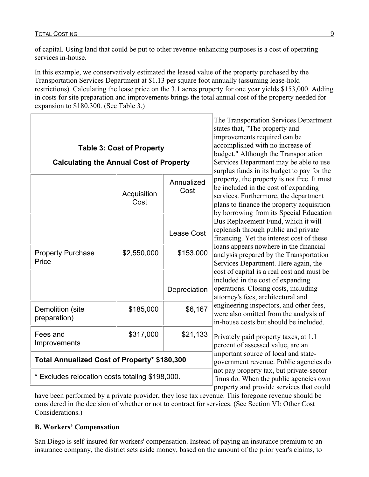of capital. Using land that could be put to other revenue-enhancing purposes is a cost of operating services in-house.

In this example, we conservatively estimated the leased value of the property purchased by the Transportation Services Department at \$1.13 per square foot annually (assuming lease-hold restrictions). Calculating the lease price on the 3.1 acres property for one year yields \$153,000. Adding in costs for site preparation and improvements brings the total annual cost of the property needed for expansion to \$180,300. (See Table 3.)

|                                                 | <b>Table 3: Cost of Property</b> |                                                                                                                                | The Transportation Services Department<br>states that, "The property and<br>improvements required can be<br>accomplished with no increase of<br>budget." Although the Transportation                                 |
|-------------------------------------------------|----------------------------------|--------------------------------------------------------------------------------------------------------------------------------|----------------------------------------------------------------------------------------------------------------------------------------------------------------------------------------------------------------------|
| <b>Calculating the Annual Cost of Property</b>  |                                  |                                                                                                                                | Services Department may be able to use<br>surplus funds in its budget to pay for the                                                                                                                                 |
|                                                 | Acquisition<br>Cost              | Annualized<br>Cost                                                                                                             | property, the property is not free. It must<br>be included in the cost of expanding<br>services. Furthermore, the department<br>plans to finance the property acquisition<br>by borrowing from its Special Education |
|                                                 |                                  | Lease Cost                                                                                                                     | Bus Replacement Fund, which it will<br>replenish through public and private<br>financing. Yet the interest cost of these                                                                                             |
| <b>Property Purchase</b><br>Price               | \$2,550,000                      | \$153,000                                                                                                                      | loans appears nowhere in the financial<br>analysis prepared by the Transportation<br>Services Department. Here again, the                                                                                            |
|                                                 |                                  | Depreciation                                                                                                                   | cost of capital is a real cost and must be<br>included in the cost of expanding<br>operations. Closing costs, including<br>attorney's fees, architectural and                                                        |
| Demolition (site<br>preparation)                | \$185,000                        | \$6,167                                                                                                                        | engineering inspectors, and other fees,<br>were also omitted from the analysis of<br>in-house costs but should be included.                                                                                          |
| Fees and<br>Improvements                        | \$317,000                        | \$21,133                                                                                                                       | Privately paid property taxes, at 1.1<br>percent of assessed value, are an                                                                                                                                           |
| Total Annualized Cost of Property* \$180,300    |                                  | important source of local and state-<br>government revenue. Public agencies do                                                 |                                                                                                                                                                                                                      |
| * Excludes relocation costs totaling \$198,000. |                                  | not pay property tax, but private-sector<br>firms do. When the public agencies own<br>property and provide services that could |                                                                                                                                                                                                                      |

have been performed by a private provider, they lose tax revenue. This foregone revenue should be considered in the decision of whether or not to contract for services. (See Section VI: Other Cost Considerations.)

#### **B. Workers' Compensation**

San Diego is self-insured for workers' compensation. Instead of paying an insurance premium to an insurance company, the district sets aside money, based on the amount of the prior year's claims, to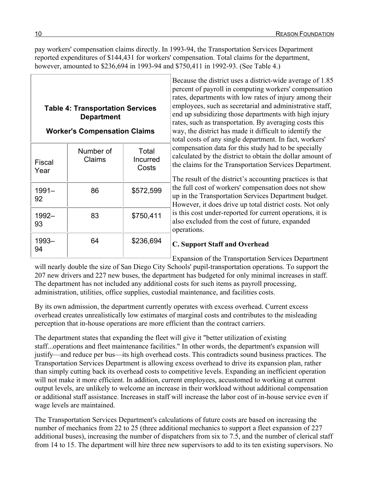pay workers' compensation claims directly. In 1993-94, the Transportation Services Department reported expenditures of \$144,431 for workers' compensation. Total claims for the department, however, amounted to \$236,694 in 1993-94 and \$750,411 in 1992-93. (See Table 4.)

### **Table 4: Transportation Services Department**

### **Worker's Compensation Claims**

| Fiscal<br>Year | Number of<br>Claims | Total<br>Incurred<br>Costs |
|----------------|---------------------|----------------------------|
| $1991 -$<br>92 | 86                  | \$572,599                  |
| 1992-<br>93    | 83                  | \$750,411                  |
| 1993-          | 64                  | \$236,694                  |

Because the district uses a district-wide average of 1.85 percent of payroll in computing workers' compensation rates, departments with low rates of injury among their employees, such as secretarial and administrative staff, end up subsidizing those departments with high injury rates, such as transportation. By averaging costs this way, the district has made it difficult to identify the total costs of any single department. In fact, workers' compensation data for this study had to be specially calculated by the district to obtain the dollar amount of the claims for the Transportation Services Department.

The result of the district's accounting practices is that the full cost of workers' compensation does not show up in the Transportation Services Department budget. However, it does drive up total district costs. Not only is this cost under-reported for current operations, it is also excluded from the cost of future, expanded operations.

### **C. Support Staff and Overhead**

Expansion of the Transportation Services Department

will nearly double the size of San Diego City Schools' pupil-transportation operations. To support the 207 new drivers and 227 new buses, the department has budgeted for only minimal increases in staff. The department has not included any additional costs for such items as payroll processing, administration, utilities, office supplies, custodial maintenance, and facilities costs.

By its own admission, the department currently operates with excess overhead. Current excess overhead creates unrealistically low estimates of marginal costs and contributes to the misleading perception that in-house operations are more efficient than the contract carriers.

The department states that expanding the fleet will give it "better utilization of existing staff...operations and fleet maintenance facilities." In other words, the department's expansion will justify—and reduce per bus—its high overhead costs. This contradicts sound business practices. The Transportation Services Department is allowing excess overhead to drive its expansion plan, rather than simply cutting back its overhead costs to competitive levels. Expanding an inefficient operation will not make it more efficient. In addition, current employees, accustomed to working at current output levels, are unlikely to welcome an increase in their workload without additional compensation or additional staff assistance. Increases in staff will increase the labor cost of in-house service even if wage levels are maintained.

The Transportation Services Department's calculations of future costs are based on increasing the number of mechanics from 22 to 25 (three additional mechanics to support a fleet expansion of 227 additional buses), increasing the number of dispatchers from six to 7.5, and the number of clerical staff from 14 to 15. The department will hire three new supervisors to add to its ten existing supervisors. No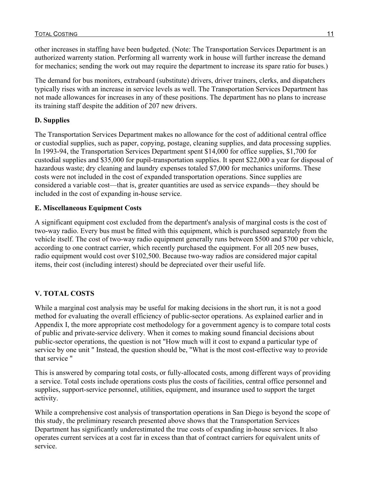other increases in staffing have been budgeted. (Note: The Transportation Services Department is an authorized warrenty station. Performing all warrenty work in house will further increase the demand for mechanics; sending the work out may require the department to increase its spare ratio for buses.)

The demand for bus monitors, extraboard (substitute) drivers, driver trainers, clerks, and dispatchers typically rises with an increase in service levels as well. The Transportation Services Department has not made allowances for increases in any of these positions. The department has no plans to increase its training staff despite the addition of 207 new drivers.

### **D. Supplies**

The Transportation Services Department makes no allowance for the cost of additional central office or custodial supplies, such as paper, copying, postage, cleaning supplies, and data processing supplies. In 1993-94, the Transportation Services Department spent \$14,000 for office supplies, \$1,700 for custodial supplies and \$35,000 for pupil-transportation supplies. It spent \$22,000 a year for disposal of hazardous waste; dry cleaning and laundry expenses totaled \$7,000 for mechanics uniforms. These costs were not included in the cost of expanded transportation operations. Since supplies are considered a variable cost—that is, greater quantities are used as service expands—they should be included in the cost of expanding in-house service.

### **E. Miscellaneous Equipment Costs**

A significant equipment cost excluded from the department's analysis of marginal costs is the cost of two-way radio. Every bus must be fitted with this equipment, which is purchased separately from the vehicle itself. The cost of two-way radio equipment generally runs between \$500 and \$700 per vehicle, according to one contract carrier, which recently purchased the equipment. For all 205 new buses, radio equipment would cost over \$102,500. Because two-way radios are considered major capital items, their cost (including interest) should be depreciated over their useful life.

### **V. TOTAL COSTS**

While a marginal cost analysis may be useful for making decisions in the short run, it is not a good method for evaluating the overall efficiency of public-sector operations. As explained earlier and in Appendix I, the more appropriate cost methodology for a government agency is to compare total costs of public and private-service delivery. When it comes to making sound financial decisions about public-sector operations, the question is not "How much will it cost to expand a particular type of service by one unit " Instead, the question should be, "What is the most cost-effective way to provide that service "

This is answered by comparing total costs, or fully-allocated costs, among different ways of providing a service. Total costs include operations costs plus the costs of facilities, central office personnel and supplies, support-service personnel, utilities, equipment, and insurance used to support the target activity.

While a comprehensive cost analysis of transportation operations in San Diego is beyond the scope of this study, the preliminary research presented above shows that the Transportation Services Department has significantly underestimated the true costs of expanding in-house services. It also operates current services at a cost far in excess than that of contract carriers for equivalent units of service.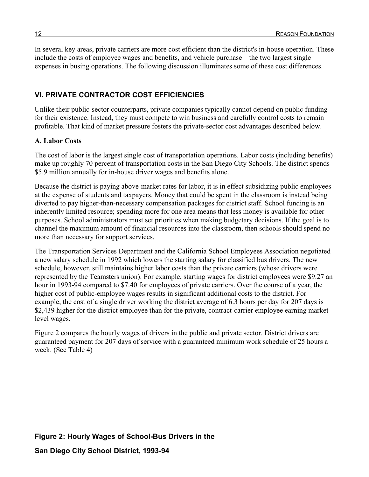In several key areas, private carriers are more cost efficient than the district's in-house operation. These include the costs of employee wages and benefits, and vehicle purchase—the two largest single expenses in busing operations. The following discussion illuminates some of these cost differences.

### **VI. PRIVATE CONTRACTOR COST EFFICIENCIES**

Unlike their public-sector counterparts, private companies typically cannot depend on public funding for their existence. Instead, they must compete to win business and carefully control costs to remain profitable. That kind of market pressure fosters the private-sector cost advantages described below.

#### **A. Labor Costs**

The cost of labor is the largest single cost of transportation operations. Labor costs (including benefits) make up roughly 70 percent of transportation costs in the San Diego City Schools. The district spends \$5.9 million annually for in-house driver wages and benefits alone.

Because the district is paying above-market rates for labor, it is in effect subsidizing public employees at the expense of students and taxpayers. Money that could be spent in the classroom is instead being diverted to pay higher-than-necessary compensation packages for district staff. School funding is an inherently limited resource; spending more for one area means that less money is available for other purposes. School administrators must set priorities when making budgetary decisions. If the goal is to channel the maximum amount of financial resources into the classroom, then schools should spend no more than necessary for support services.

The Transportation Services Department and the California School Employees Association negotiated a new salary schedule in 1992 which lowers the starting salary for classified bus drivers. The new schedule, however, still maintains higher labor costs than the private carriers (whose drivers were represented by the Teamsters union). For example, starting wages for district employees were \$9.27 an hour in 1993-94 compared to \$7.40 for employees of private carriers. Over the course of a year, the higher cost of public-employee wages results in significant additional costs to the district. For example, the cost of a single driver working the district average of 6.3 hours per day for 207 days is \$2,439 higher for the district employee than for the private, contract-carrier employee earning marketlevel wages.

Figure 2 compares the hourly wages of drivers in the public and private sector. District drivers are guaranteed payment for 207 days of service with a guaranteed minimum work schedule of 25 hours a week. (See Table 4)

#### **Figure 2: Hourly Wages of School-Bus Drivers in the**

**San Diego City School District, 1993-94**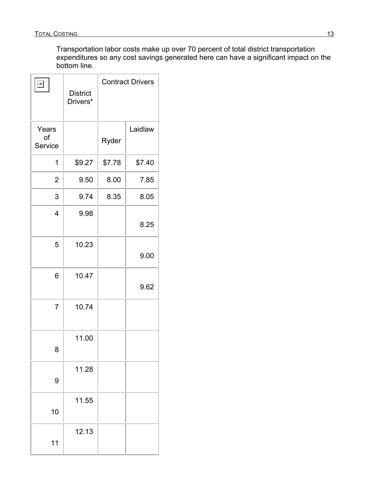Transportation labor costs make up over 70 percent of total district transportation expenditures so any cost savings generated here can have a significant impact on the bottom line.

| $\pmb{\times}$         | <b>District</b><br>Drivers* |        | <b>Contract Drivers</b> |
|------------------------|-----------------------------|--------|-------------------------|
| Years<br>of<br>Service |                             | Ryder  | Laidlaw                 |
| 1                      | \$9.27                      | \$7.78 | \$7.40                  |
| $\overline{2}$         | 9.50                        | 8.00   | 7.85                    |
| 3                      | 9.74                        | 8.35   | 8.05                    |
| $\overline{4}$         | 9.98                        |        | 8.25                    |
| 5                      | 10.23                       |        | 9.00                    |
| 6                      | 10.47                       |        | 9.62                    |
| $\overline{7}$         | 10.74                       |        |                         |
| 8                      | 11.00                       |        |                         |
| 9                      | 11.28                       |        |                         |
| 10                     | 11.55                       |        |                         |
| 11                     | 12.13                       |        |                         |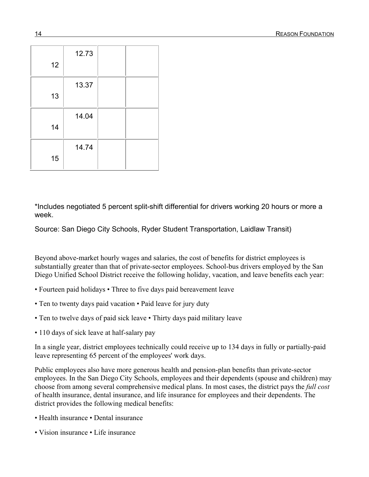| 12 | 12.73 |  |
|----|-------|--|
| 13 | 13.37 |  |
| 14 | 14.04 |  |
| 15 | 14.74 |  |

\*Includes negotiated 5 percent split-shift differential for drivers working 20 hours or more a week.

Source: San Diego City Schools, Ryder Student Transportation, Laidlaw Transit)

Beyond above-market hourly wages and salaries, the cost of benefits for district employees is substantially greater than that of private-sector employees. School-bus drivers employed by the San Diego Unified School District receive the following holiday, vacation, and leave benefits each year:

- Fourteen paid holidays Three to five days paid bereavement leave
- Ten to twenty days paid vacation Paid leave for jury duty
- Ten to twelve days of paid sick leave Thirty days paid military leave
- 110 days of sick leave at half-salary pay

In a single year, district employees technically could receive up to 134 days in fully or partially-paid leave representing 65 percent of the employees' work days.

Public employees also have more generous health and pension-plan benefits than private-sector employees. In the San Diego City Schools, employees and their dependents (spouse and children) may choose from among several comprehensive medical plans. In most cases, the district pays the *full cost* of health insurance, dental insurance, and life insurance for employees and their dependents. The district provides the following medical benefits:

- Health insurance Dental insurance
- Vision insurance Life insurance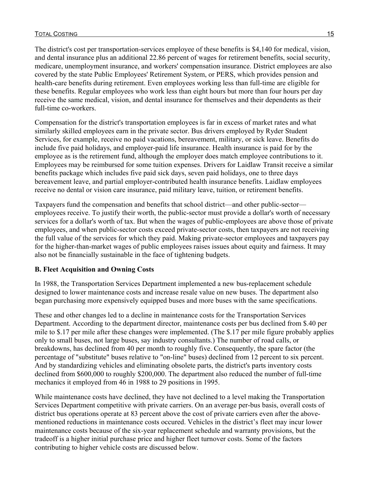#### TOTAL COSTING 15

The district's cost per transportation-services employee of these benefits is \$4,140 for medical, vision, and dental insurance plus an additional 22.86 percent of wages for retirement benefits, social security, medicare, unemployment insurance, and workers' compensation insurance. District employees are also covered by the state Public Employees' Retirement System, or PERS, which provides pension and health-care benefits during retirement. Even employees working less than full-time are eligible for these benefits. Regular employees who work less than eight hours but more than four hours per day receive the same medical, vision, and dental insurance for themselves and their dependents as their full-time co-workers.

Compensation for the district's transportation employees is far in excess of market rates and what similarly skilled employees earn in the private sector. Bus drivers employed by Ryder Student Services, for example, receive no paid vacations, bereavement, military, or sick leave. Benefits do include five paid holidays, and employer-paid life insurance. Health insurance is paid for by the employee as is the retirement fund, although the employer does match employee contributions to it. Employees may be reimbursed for some tuition expenses. Drivers for Laidlaw Transit receive a similar benefits package which includes five paid sick days, seven paid holidays, one to three days bereavement leave, and partial employer-contributed health insurance benefits. Laidlaw employees receive no dental or vision care insurance, paid military leave, tuition, or retirement benefits.

Taxpayers fund the compensation and benefits that school district—and other public-sector employees receive. To justify their worth, the public-sector must provide a dollar's worth of necessary services for a dollar's worth of tax. But when the wages of public-employees are above those of private employees, and when public-sector costs exceed private-sector costs, then taxpayers are not receiving the full value of the services for which they paid. Making private-sector employees and taxpayers pay for the higher-than-market wages of public employees raises issues about equity and fairness. It may also not be financially sustainable in the face of tightening budgets.

#### **B. Fleet Acquisition and Owning Costs**

In 1988, the Transportation Services Department implemented a new bus-replacement schedule designed to lower maintenance costs and increase resale value on new buses. The department also began purchasing more expensively equipped buses and more buses with the same specifications.

These and other changes led to a decline in maintenance costs for the Transportation Services Department. According to the department director, maintenance costs per bus declined from \$.40 per mile to \$.17 per mile after these changes were implemented. (The \$.17 per mile figure probably applies only to small buses, not large buses, say industry consultants.) The number of road calls, or breakdowns, has declined from 40 per month to roughly five. Consequently, the spare factor (the percentage of "substitute" buses relative to "on-line" buses) declined from 12 percent to six percent. And by standardizing vehicles and eliminating obsolete parts, the district's parts inventory costs declined from \$600,000 to roughly \$200,000. The department also reduced the number of full-time mechanics it employed from 46 in 1988 to 29 positions in 1995.

While maintenance costs have declined, they have not declined to a level making the Transportation Services Department competitive with private carriers. On an average per-bus basis, overall costs of district bus operations operate at 83 percent above the cost of private carriers even after the abovementioned reductions in maintenance costs occured. Vehicles in the district's fleet may incur lower maintenance costs because of the six-year replacement schedule and warranty provisions, but the tradeoff is a higher initial purchase price and higher fleet turnover costs. Some of the factors contributing to higher vehicle costs are discussed below.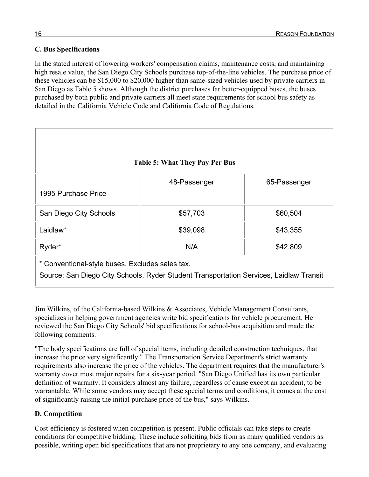### **C. Bus Specifications**

In the stated interest of lowering workers' compensation claims, maintenance costs, and maintaining high resale value, the San Diego City Schools purchase top-of-the-line vehicles. The purchase price of these vehicles can be \$15,000 to \$20,000 higher than same-sized vehicles used by private carriers in San Diego as Table 5 shows. Although the district purchases far better-equipped buses, the buses purchased by both public and private carriers all meet state requirements for school bus safety as detailed in the California Vehicle Code and California Code of Regulations.

|                                                                                                                                           | <b>Table 5: What They Pay Per Bus</b> |              |
|-------------------------------------------------------------------------------------------------------------------------------------------|---------------------------------------|--------------|
| 1995 Purchase Price                                                                                                                       | 48-Passenger                          | 65-Passenger |
| San Diego City Schools                                                                                                                    | \$57,703                              | \$60,504     |
| Laidlaw*                                                                                                                                  | \$39,098                              | \$43,355     |
| Ryder*                                                                                                                                    | N/A                                   | \$42,809     |
| * Conventional-style buses. Excludes sales tax.<br>Source: San Diego City Schools, Ryder Student Transportation Services, Laidlaw Transit |                                       |              |

Jim Wilkins, of the California-based Wilkins & Associates, Vehicle Management Consultants, specializes in helping government agencies write bid specifications for vehicle procurement. He reviewed the San Diego City Schools' bid specifications for school-bus acquisition and made the following comments.

"The body specifications are full of special items, including detailed construction techniques, that increase the price very significantly." The Transportation Service Department's strict warranty requirements also increase the price of the vehicles. The department requires that the manufacturer's warranty cover most major repairs for a six-year period. "San Diego Unified has its own particular definition of warranty. It considers almost any failure, regardless of cause except an accident, to be warrantable. While some vendors may accept these special terms and conditions, it comes at the cost of significantly raising the initial purchase price of the bus," says Wilkins.

#### **D. Competition**

Cost-efficiency is fostered when competition is present. Public officials can take steps to create conditions for competitive bidding. These include soliciting bids from as many qualified vendors as possible, writing open bid specifications that are not proprietary to any one company, and evaluating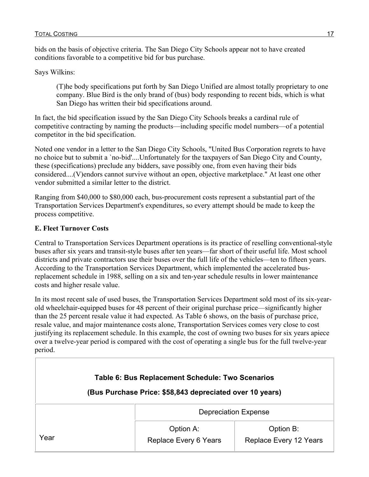bids on the basis of objective criteria. The San Diego City Schools appear not to have created conditions favorable to a competitive bid for bus purchase.

Says Wilkins:

(T)he body specifications put forth by San Diego Unified are almost totally proprietary to one company. Blue Bird is the only brand of (bus) body responding to recent bids, which is what San Diego has written their bid specifications around.

In fact, the bid specification issued by the San Diego City Schools breaks a cardinal rule of competitive contracting by naming the products—including specific model numbers—of a potential competitor in the bid specification.

Noted one vendor in a letter to the San Diego City Schools, "United Bus Corporation regrets to have no choice but to submit a `no-bid'....Unfortunately for the taxpayers of San Diego City and County, these (specifications) preclude any bidders, save possibly one, from even having their bids considered....(V)endors cannot survive without an open, objective marketplace." At least one other vendor submitted a similar letter to the district.

Ranging from \$40,000 to \$80,000 each, bus-procurement costs represent a substantial part of the Transportation Services Department's expenditures, so every attempt should be made to keep the process competitive.

#### **E. Fleet Turnover Costs**

Central to Transportation Services Department operations is its practice of reselling conventional-style buses after six years and transit-style buses after ten years—far short of their useful life. Most school districts and private contractors use their buses over the full life of the vehicles—ten to fifteen years. According to the Transportation Services Department, which implemented the accelerated busreplacement schedule in 1988, selling on a six and ten-year schedule results in lower maintenance costs and higher resale value.

In its most recent sale of used buses, the Transportation Services Department sold most of its six-yearold wheelchair-equipped buses for 48 percent of their original purchase price—significantly higher than the 25 percent resale value it had expected. As Table 6 shows, on the basis of purchase price, resale value, and major maintenance costs alone, Transportation Services comes very close to cost justifying its replacement schedule. In this example, the cost of owning two buses for six years apiece over a twelve-year period is compared with the cost of operating a single bus for the full twelve-year period.

| Table 6: Bus Replacement Schedule: Two Scenarios<br>(Bus Purchase Price: \$58,843 depreciated over 10 years) |                                    |                                     |  |
|--------------------------------------------------------------------------------------------------------------|------------------------------------|-------------------------------------|--|
|                                                                                                              | <b>Depreciation Expense</b>        |                                     |  |
| Year                                                                                                         | Option A:<br>Replace Every 6 Years | Option B:<br>Replace Every 12 Years |  |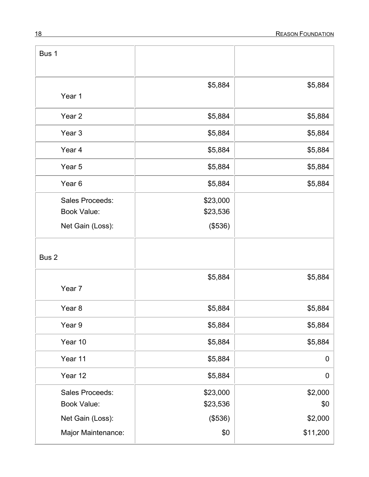| Bus 1                                                     |                                 |                     |
|-----------------------------------------------------------|---------------------------------|---------------------|
| Year 1                                                    | \$5,884                         | \$5,884             |
| Year <sub>2</sub>                                         | \$5,884                         | \$5,884             |
| Year <sub>3</sub>                                         | \$5,884                         | \$5,884             |
| Year 4                                                    | \$5,884                         | \$5,884             |
| Year <sub>5</sub>                                         | \$5,884                         | \$5,884             |
| Year <sub>6</sub>                                         | \$5,884                         | \$5,884             |
| Sales Proceeds:<br><b>Book Value:</b><br>Net Gain (Loss): | \$23,000<br>\$23,536<br>(\$536) |                     |
| Bus <sub>2</sub>                                          |                                 |                     |
| Year 7                                                    | \$5,884                         | \$5,884             |
| Year <sub>8</sub>                                         | \$5,884                         | \$5,884             |
| Year 9                                                    | \$5,884                         | \$5,884             |
| Year 10                                                   | \$5,884                         | \$5,884             |
| Year 11                                                   | \$5,884                         | $\mathbf 0$         |
| Year 12                                                   | \$5,884                         | $\mathbf 0$         |
| Sales Proceeds:<br><b>Book Value:</b>                     | \$23,000<br>\$23,536            | \$2,000<br>\$0      |
| Net Gain (Loss):<br>Major Maintenance:                    | (\$536)<br>\$0                  | \$2,000<br>\$11,200 |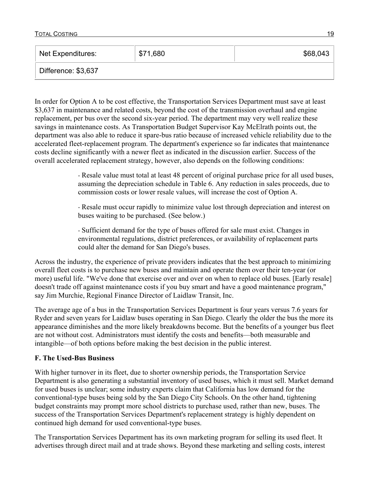| Net Expenditures:   | \$71,680 | \$68,043 |
|---------------------|----------|----------|
| Difference: \$3,637 |          |          |

In order for Option A to be cost effective, the Transportation Services Department must save at least \$3,637 in maintenance and related costs, beyond the cost of the transmission overhaul and engine replacement, per bus over the second six-year period. The department may very well realize these savings in maintenance costs. As Transportation Budget Supervisor Kay McElrath points out, the department was also able to reduce it spare-bus ratio because of increased vehicle reliability due to the accelerated fleet-replacement program. The department's experience so far indicates that maintenance costs decline significantly with a newer fleet as indicated in the discussion earlier. Success of the overall accelerated replacement strategy, however, also depends on the following conditions:

> ⋅ Resale value must total at least 48 percent of original purchase price for all used buses, assuming the depreciation schedule in Table 6. Any reduction in sales proceeds, due to commission costs or lower resale values, will increase the cost of Option A.

⋅ Resale must occur rapidly to minimize value lost through depreciation and interest on buses waiting to be purchased. (See below.)

⋅ Sufficient demand for the type of buses offered for sale must exist. Changes in environmental regulations, district preferences, or availability of replacement parts could alter the demand for San Diego's buses.

Across the industry, the experience of private providers indicates that the best approach to minimizing overall fleet costs is to purchase new buses and maintain and operate them over their ten-year (or more) useful life. "We've done that exercise over and over on when to replace old buses. [Early resale] doesn't trade off against maintenance costs if you buy smart and have a good maintenance program," say Jim Murchie, Regional Finance Director of Laidlaw Transit, Inc.

The average age of a bus in the Transportation Services Department is four years versus 7.6 years for Ryder and seven years for Laidlaw buses operating in San Diego. Clearly the older the bus the more its appearance diminishes and the more likely breakdowns become. But the benefits of a younger bus fleet are not without cost. Administrators must identify the costs and benefits—both measurable and intangible—of both options before making the best decision in the public interest.

#### **F. The Used-Bus Business**

With higher turnover in its fleet, due to shorter ownership periods, the Transportation Service Department is also generating a substantial inventory of used buses, which it must sell. Market demand for used buses is unclear; some industry experts claim that California has low demand for the conventional-type buses being sold by the San Diego City Schools. On the other hand, tightening budget constraints may prompt more school districts to purchase used, rather than new, buses. The success of the Transportation Services Department's replacement strategy is highly dependent on continued high demand for used conventional-type buses.

The Transportation Services Department has its own marketing program for selling its used fleet. It advertises through direct mail and at trade shows. Beyond these marketing and selling costs, interest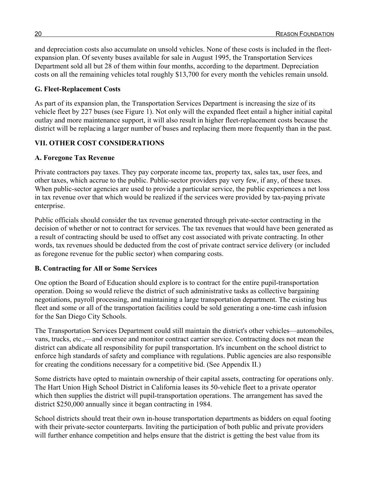and depreciation costs also accumulate on unsold vehicles. None of these costs is included in the fleetexpansion plan. Of seventy buses available for sale in August 1995, the Transportation Services Department sold all but 28 of them within four months, according to the department. Depreciation costs on all the remaining vehicles total roughly \$13,700 for every month the vehicles remain unsold.

#### **G. Fleet-Replacement Costs**

As part of its expansion plan, the Transportation Services Department is increasing the size of its vehicle fleet by 227 buses (see Figure 1). Not only will the expanded fleet entail a higher initial capital outlay and more maintenance support, it will also result in higher fleet-replacement costs because the district will be replacing a larger number of buses and replacing them more frequently than in the past.

#### **VII. OTHER COST CONSIDERATIONS**

#### **A. Foregone Tax Revenue**

Private contractors pay taxes. They pay corporate income tax, property tax, sales tax, user fees, and other taxes, which accrue to the public. Public-sector providers pay very few, if any, of these taxes. When public-sector agencies are used to provide a particular service, the public experiences a net loss in tax revenue over that which would be realized if the services were provided by tax-paying private enterprise.

Public officials should consider the tax revenue generated through private-sector contracting in the decision of whether or not to contract for services. The tax revenues that would have been generated as a result of contracting should be used to offset any cost associated with private contracting. In other words, tax revenues should be deducted from the cost of private contract service delivery (or included as foregone revenue for the public sector) when comparing costs.

#### **B. Contracting for All or Some Services**

One option the Board of Education should explore is to contract for the entire pupil-transportation operation. Doing so would relieve the district of such administrative tasks as collective bargaining negotiations, payroll processing, and maintaining a large transportation department. The existing bus fleet and some or all of the transportation facilities could be sold generating a one-time cash infusion for the San Diego City Schools.

The Transportation Services Department could still maintain the district's other vehicles—automobiles, vans, trucks, etc.,—and oversee and monitor contract carrier service. Contracting does not mean the district can abdicate all responsibility for pupil transportation. It's incumbent on the school district to enforce high standards of safety and compliance with regulations. Public agencies are also responsible for creating the conditions necessary for a competitive bid. (See Appendix II.)

Some districts have opted to maintain ownership of their capital assets, contracting for operations only. The Hart Union High School District in California leases its 50-vehicle fleet to a private operator which then supplies the district will pupil-transportation operations. The arrangement has saved the district \$250,000 annually since it began contracting in 1984.

School districts should treat their own in-house transportation departments as bidders on equal footing with their private-sector counterparts. Inviting the participation of both public and private providers will further enhance competition and helps ensure that the district is getting the best value from its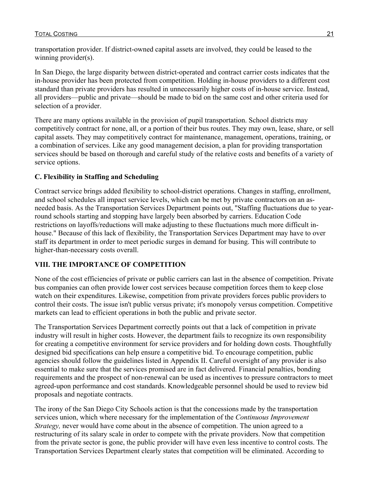transportation provider. If district-owned capital assets are involved, they could be leased to the winning provider(s).

In San Diego, the large disparity between district-operated and contract carrier costs indicates that the in-house provider has been protected from competition. Holding in-house providers to a different cost standard than private providers has resulted in unnecessarily higher costs of in-house service. Instead, all providers—public and private—should be made to bid on the same cost and other criteria used for selection of a provider.

There are many options available in the provision of pupil transportation. School districts may competitively contract for none, all, or a portion of their bus routes. They may own, lease, share, or sell capital assets. They may competitively contract for maintenance, management, operations, training, or a combination of services. Like any good management decision, a plan for providing transportation services should be based on thorough and careful study of the relative costs and benefits of a variety of service options.

### **C. Flexibility in Staffing and Scheduling**

Contract service brings added flexibility to school-district operations. Changes in staffing, enrollment, and school schedules all impact service levels, which can be met by private contractors on an asneeded basis. As the Transportation Services Department points out, "Staffing fluctuations due to yearround schools starting and stopping have largely been absorbed by carriers. Education Code restrictions on layoffs/reductions will make adjusting to these fluctuations much more difficult inhouse." Because of this lack of flexibility, the Transportation Services Department may have to over staff its department in order to meet periodic surges in demand for busing. This will contribute to higher-than-necessary costs overall.

### **VIII. THE IMPORTANCE OF COMPETITION**

None of the cost efficiencies of private or public carriers can last in the absence of competition. Private bus companies can often provide lower cost services because competition forces them to keep close watch on their expenditures. Likewise, competition from private providers forces public providers to control their costs. The issue isn't public versus private; it's monopoly versus competition. Competitive markets can lead to efficient operations in both the public and private sector.

The Transportation Services Department correctly points out that a lack of competition in private industry will result in higher costs. However, the department fails to recognize its own responsibility for creating a competitive environment for service providers and for holding down costs. Thoughtfully designed bid specifications can help ensure a competitive bid. To encourage competition, public agencies should follow the guidelines listed in Appendix II. Careful oversight of any provider is also essential to make sure that the services promised are in fact delivered. Financial penalties, bonding requirements and the prospect of non-renewal can be used as incentives to pressure contractors to meet agreed-upon performance and cost standards. Knowledgeable personnel should be used to review bid proposals and negotiate contracts.

The irony of the San Diego City Schools action is that the concessions made by the transportation services union, which where necessary for the implementation of the *Continuous Improvement Strategy,* never would have come about in the absence of competition. The union agreed to a restructuring of its salary scale in order to compete with the private providers. Now that competition from the private sector is gone, the public provider will have even less incentive to control costs. The Transportation Services Department clearly states that competition will be eliminated. According to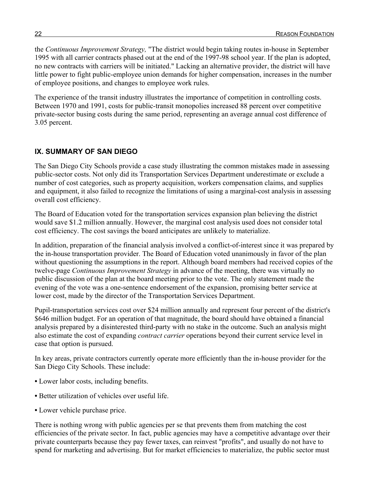the *Continuous Improvement Strategy,* "The district would begin taking routes in-house in September 1995 with all carrier contracts phased out at the end of the 1997-98 school year. If the plan is adopted, no new contracts with carriers will be initiated." Lacking an alternative provider, the district will have little power to fight public-employee union demands for higher compensation, increases in the number of employee positions, and changes to employee work rules.

The experience of the transit industry illustrates the importance of competition in controlling costs. Between 1970 and 1991, costs for public-transit monopolies increased 88 percent over competitive private-sector busing costs during the same period, representing an average annual cost difference of 3.05 percent.

## **IX. SUMMARY OF SAN DIEGO**

The San Diego City Schools provide a case study illustrating the common mistakes made in assessing public-sector costs. Not only did its Transportation Services Department underestimate or exclude a number of cost categories, such as property acquisition, workers compensation claims, and supplies and equipment, it also failed to recognize the limitations of using a marginal-cost analysis in assessing overall cost efficiency.

The Board of Education voted for the transportation services expansion plan believing the district would save \$1.2 million annually. However, the marginal cost analysis used does not consider total cost efficiency. The cost savings the board anticipates are unlikely to materialize.

In addition, preparation of the financial analysis involved a conflict-of-interest since it was prepared by the in-house transportation provider. The Board of Education voted unanimously in favor of the plan without questioning the assumptions in the report. Although board members had received copies of the twelve-page *Continuous Improvement Strategy* in advance of the meeting, there was virtually no public discussion of the plan at the board meeting prior to the vote. The only statement made the evening of the vote was a one-sentence endorsement of the expansion, promising better service at lower cost, made by the director of the Transportation Services Department.

Pupil-transportation services cost over \$24 million annually and represent four percent of the district's \$646 million budget. For an operation of that magnitude, the board should have obtained a financial analysis prepared by a disinterested third-party with no stake in the outcome. Such an analysis might also estimate the cost of expanding *contract carrier* operations beyond their current service level in case that option is pursued.

In key areas, private contractors currently operate more efficiently than the in-house provider for the San Diego City Schools. These include:

- **•** Lower labor costs, including benefits.
- **•** Better utilization of vehicles over useful life.
- **•** Lower vehicle purchase price.

There is nothing wrong with public agencies per se that prevents them from matching the cost efficiencies of the private sector. In fact, public agencies may have a competitive advantage over their private counterparts because they pay fewer taxes, can reinvest "profits", and usually do not have to spend for marketing and advertising. But for market efficiencies to materialize, the public sector must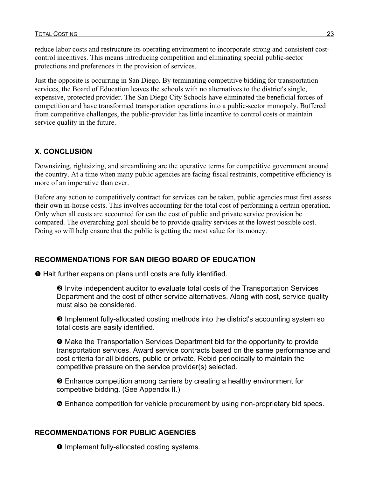reduce labor costs and restructure its operating environment to incorporate strong and consistent costcontrol incentives. This means introducing competition and eliminating special public-sector protections and preferences in the provision of services.

Just the opposite is occurring in San Diego. By terminating competitive bidding for transportation services, the Board of Education leaves the schools with no alternatives to the district's single, expensive, protected provider. The San Diego City Schools have eliminated the beneficial forces of competition and have transformed transportation operations into a public-sector monopoly. Buffered from competitive challenges, the public-provider has little incentive to control costs or maintain service quality in the future.

### **X. CONCLUSION**

Downsizing, rightsizing, and streamlining are the operative terms for competitive government around the country. At a time when many public agencies are facing fiscal restraints, competitive efficiency is more of an imperative than ever.

Before any action to competitively contract for services can be taken, public agencies must first assess their own in-house costs. This involves accounting for the total cost of performing a certain operation. Only when all costs are accounted for can the cost of public and private service provision be compared. The overarching goal should be to provide quality services at the lowest possible cost. Doing so will help ensure that the public is getting the most value for its money.

#### **RECOMMENDATIONS FOR SAN DIEGO BOARD OF EDUCATION**

**O** Halt further expansion plans until costs are fully identified.

<sup>2</sup> Invite independent auditor to evaluate total costs of the Transportation Services Department and the cost of other service alternatives. Along with cost, service quality must also be considered.

 $\Theta$  Implement fully-allocated costing methods into the district's accounting system so total costs are easily identified.

 $\Theta$  Make the Transportation Services Department bid for the opportunity to provide transportation services. Award service contracts based on the same performance and cost criteria for all bidders, public or private. Rebid periodically to maintain the competitive pressure on the service provider(s) selected.

 $\Theta$  Enhance competition among carriers by creating a healthy environment for competitive bidding. (See Appendix II.)

 $\Theta$  Enhance competition for vehicle procurement by using non-proprietary bid specs.

#### **RECOMMENDATIONS FOR PUBLIC AGENCIES**

 $\bullet$  Implement fully-allocated costing systems.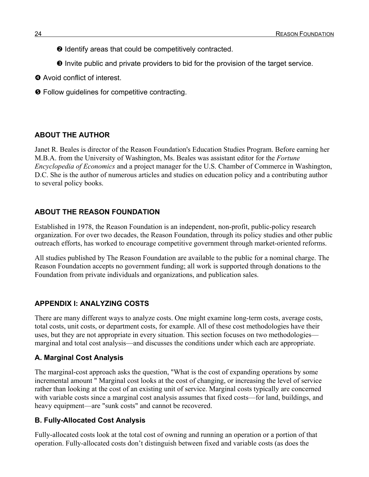- <sup>2</sup> Identify areas that could be competitively contracted.
- $\Theta$  Invite public and private providers to bid for the provision of the target service.
- **<sup>4</sup>** Avoid conflict of interest.
- $\Theta$  Follow guidelines for competitive contracting.

### **ABOUT THE AUTHOR**

Janet R. Beales is director of the Reason Foundation's Education Studies Program. Before earning her M.B.A. from the University of Washington, Ms. Beales was assistant editor for the *Fortune Encyclopedia of Economics* and a project manager for the U.S. Chamber of Commerce in Washington, D.C. She is the author of numerous articles and studies on education policy and a contributing author to several policy books.

### **ABOUT THE REASON FOUNDATION**

Established in 1978, the Reason Foundation is an independent, non-profit, public-policy research organization. For over two decades, the Reason Foundation, through its policy studies and other public outreach efforts, has worked to encourage competitive government through market-oriented reforms.

All studies published by The Reason Foundation are available to the public for a nominal charge. The Reason Foundation accepts no government funding; all work is supported through donations to the Foundation from private individuals and organizations, and publication sales.

### **APPENDIX I: ANALYZING COSTS**

There are many different ways to analyze costs. One might examine long-term costs, average costs, total costs, unit costs, or department costs, for example. All of these cost methodologies have their uses, but they are not appropriate in every situation. This section focuses on two methodologies marginal and total cost analysis—and discusses the conditions under which each are appropriate.

### **A. Marginal Cost Analysis**

The marginal-cost approach asks the question, "What is the cost of expanding operations by some incremental amount " Marginal cost looks at the cost of changing, or increasing the level of service rather than looking at the cost of an existing unit of service. Marginal costs typically are concerned with variable costs since a marginal cost analysis assumes that fixed costs—for land, buildings, and heavy equipment—are "sunk costs" and cannot be recovered.

### **B. Fully-Allocated Cost Analysis**

Fully-allocated costs look at the total cost of owning and running an operation or a portion of that operation. Fully-allocated costs don't distinguish between fixed and variable costs (as does the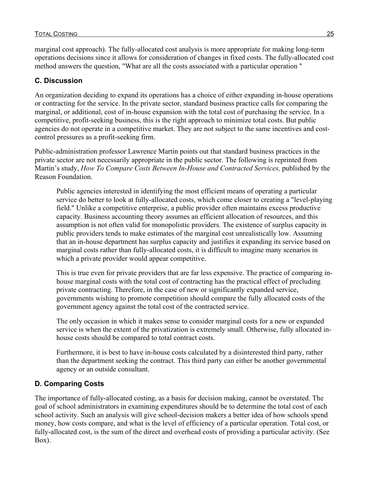marginal cost approach). The fully-allocated cost analysis is more appropriate for making long-term operations decisions since it allows for consideration of changes in fixed costs. The fully-allocated cost method answers the question, "What are all the costs associated with a particular operation "

### **C. Discussion**

An organization deciding to expand its operations has a choice of either expanding in-house operations or contracting for the service. In the private sector, standard business practice calls for comparing the marginal, or additional, cost of in-house expansion with the total cost of purchasing the service. In a competitive, profit-seeking business, this is the right approach to minimize total costs. But public agencies do not operate in a competitive market. They are not subject to the same incentives and costcontrol pressures as a profit-seeking firm.

Public-administration professor Lawrence Martin points out that standard business practices in the private sector are not necessarily appropriate in the public sector. The following is reprinted from Martin's study, *How To Compare Costs Between In-House and Contracted Services,* published by the Reason Foundation.

Public agencies interested in identifying the most efficient means of operating a particular service do better to look at fully-allocated costs, which come closer to creating a "level-playing field." Unlike a competitive enterprise, a public provider often maintains excess productive capacity. Business accounting theory assumes an efficient allocation of resources, and this assumption is not often valid for monopolistic providers. The existence of surplus capacity in public providers tends to make estimates of the marginal cost unrealistically low. Assuming that an in-house department has surplus capacity and justifies it expanding its service based on marginal costs rather than fully-allocated costs, it is difficult to imagine many scenarios in which a private provider would appear competitive.

This is true even for private providers that are far less expensive. The practice of comparing inhouse marginal costs with the total cost of contracting has the practical effect of precluding private contracting. Therefore, in the case of new or significantly expanded service, governments wishing to promote competition should compare the fully allocated costs of the government agency against the total cost of the contracted service.

The only occasion in which it makes sense to consider marginal costs for a new or expanded service is when the extent of the privatization is extremely small. Otherwise, fully allocated inhouse costs should be compared to total contract costs.

Furthermore, it is best to have in-house costs calculated by a disinterested third party, rather than the department seeking the contract. This third party can either be another governmental agency or an outside consultant.

## **D. Comparing Costs**

The importance of fully-allocated costing, as a basis for decision making, cannot be overstated. The goal of school administrators in examining expenditures should be to determine the total cost of each school activity. Such an analysis will give school-decision makers a better idea of how schools spend money, how costs compare, and what is the level of efficiency of a particular operation. Total cost, or fully-allocated cost, is the sum of the direct and overhead costs of providing a particular activity. (See Box).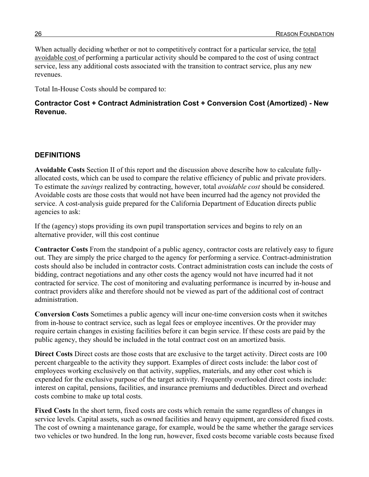When actually deciding whether or not to competitively contract for a particular service, the total avoidable cost of performing a particular activity should be compared to the cost of using contract service, less any additional costs associated with the transition to contract service, plus any new revenues.

Total In-House Costs should be compared to:

### **Contractor Cost + Contract Administration Cost + Conversion Cost (Amortized) - New Revenue.**

### **DEFINITIONS**

**Avoidable Costs** Section II of this report and the discussion above describe how to calculate fullyallocated costs, which can be used to compare the relative efficiency of public and private providers. To estimate the *savings* realized by contracting, however, total *avoidable cost* should be considered. Avoidable costs are those costs that would not have been incurred had the agency not provided the service. A cost-analysis guide prepared for the California Department of Education directs public agencies to ask:

If the (agency) stops providing its own pupil transportation services and begins to rely on an alternative provider, will this cost continue

**Contractor Costs** From the standpoint of a public agency, contractor costs are relatively easy to figure out. They are simply the price charged to the agency for performing a service. Contract-administration costs should also be included in contractor costs. Contract administration costs can include the costs of bidding, contract negotiations and any other costs the agency would not have incurred had it not contracted for service. The cost of monitoring and evaluating performance is incurred by in-house and contract providers alike and therefore should not be viewed as part of the additional cost of contract administration.

**Conversion Costs** Sometimes a public agency will incur one-time conversion costs when it switches from in-house to contract service, such as legal fees or employee incentives. Or the provider may require certain changes in existing facilities before it can begin service. If these costs are paid by the public agency, they should be included in the total contract cost on an amortized basis.

**Direct Costs** Direct costs are those costs that are exclusive to the target activity. Direct costs are 100 percent chargeable to the activity they support. Examples of direct costs include: the labor cost of employees working exclusively on that activity, supplies, materials, and any other cost which is expended for the exclusive purpose of the target activity. Frequently overlooked direct costs include: interest on capital, pensions, facilities, and insurance premiums and deductibles. Direct and overhead costs combine to make up total costs.

**Fixed Costs** In the short term, fixed costs are costs which remain the same regardless of changes in service levels. Capital assets, such as owned facilities and heavy equipment, are considered fixed costs. The cost of owning a maintenance garage, for example, would be the same whether the garage services two vehicles or two hundred. In the long run, however, fixed costs become variable costs because fixed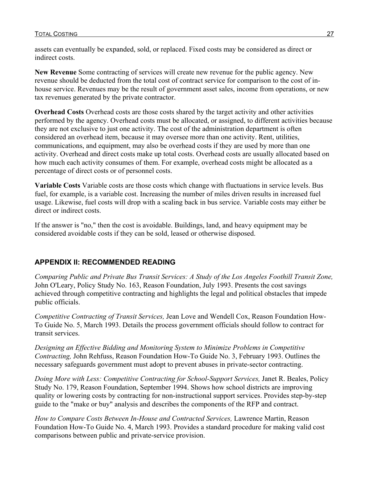assets can eventually be expanded, sold, or replaced. Fixed costs may be considered as direct or indirect costs.

**New Revenue** Some contracting of services will create new revenue for the public agency. New revenue should be deducted from the total cost of contract service for comparison to the cost of inhouse service. Revenues may be the result of government asset sales, income from operations, or new tax revenues generated by the private contractor.

**Overhead Costs** Overhead costs are those costs shared by the target activity and other activities performed by the agency. Overhead costs must be allocated, or assigned, to different activities because they are not exclusive to just one activity. The cost of the administration department is often considered an overhead item, because it may oversee more than one activity. Rent, utilities, communications, and equipment, may also be overhead costs if they are used by more than one activity. Overhead and direct costs make up total costs. Overhead costs are usually allocated based on how much each activity consumes of them. For example, overhead costs might be allocated as a percentage of direct costs or of personnel costs.

**Variable Costs** Variable costs are those costs which change with fluctuations in service levels. Bus fuel, for example, is a variable cost. Increasing the number of miles driven results in increased fuel usage. Likewise, fuel costs will drop with a scaling back in bus service. Variable costs may either be direct or indirect costs.

If the answer is "no," then the cost is avoidable. Buildings, land, and heavy equipment may be considered avoidable costs if they can be sold, leased or otherwise disposed.

### **APPENDIX II: RECOMMENDED READING**

*Comparing Public and Private Bus Transit Services: A Study of the Los Angeles Foothill Transit Zone,* John O'Leary, Policy Study No. 163, Reason Foundation, July 1993. Presents the cost savings achieved through competitive contracting and highlights the legal and political obstacles that impede public officials.

*Competitive Contracting of Transit Services,* Jean Love and Wendell Cox, Reason Foundation How-To Guide No. 5, March 1993. Details the process government officials should follow to contract for transit services.

*Designing an Effective Bidding and Monitoring System to Minimize Problems in Competitive Contracting,* John Rehfuss, Reason Foundation How-To Guide No. 3, February 1993. Outlines the necessary safeguards government must adopt to prevent abuses in private-sector contracting.

*Doing More with Less: Competitive Contracting for School-Support Services,* Janet R. Beales, Policy Study No. 179, Reason Foundation, September 1994. Shows how school districts are improving quality or lowering costs by contracting for non-instructional support services. Provides step-by-step guide to the "make or buy" analysis and describes the components of the RFP and contract.

*How to Compare Costs Between In-House and Contracted Services,* Lawrence Martin, Reason Foundation How-To Guide No. 4, March 1993. Provides a standard procedure for making valid cost comparisons between public and private-service provision.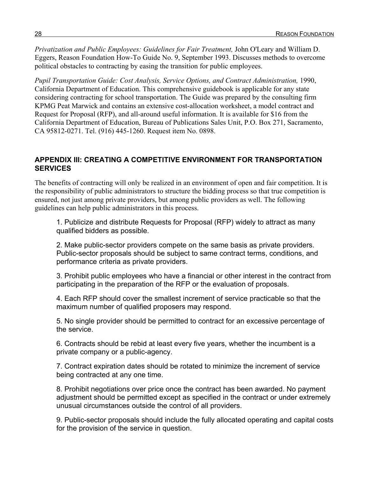*Privatization and Public Employees: Guidelines for Fair Treatment,* John O'Leary and William D. Eggers, Reason Foundation How-To Guide No. 9, September 1993. Discusses methods to overcome political obstacles to contracting by easing the transition for public employees.

*Pupil Transportation Guide: Cost Analysis, Service Options, and Contract Administration,* 1990, California Department of Education. This comprehensive guidebook is applicable for any state considering contracting for school transportation. The Guide was prepared by the consulting firm KPMG Peat Marwick and contains an extensive cost-allocation worksheet, a model contract and Request for Proposal (RFP), and all-around useful information. It is available for \$16 from the California Department of Education, Bureau of Publications Sales Unit, P.O. Box 271, Sacramento, CA 95812-0271. Tel. (916) 445-1260. Request item No. 0898.

#### **APPENDIX III: CREATING A COMPETITIVE ENVIRONMENT FOR TRANSPORTATION SERVICES**

The benefits of contracting will only be realized in an environment of open and fair competition. It is the responsibility of public administrators to structure the bidding process so that true competition is ensured, not just among private providers, but among public providers as well. The following guidelines can help public administrators in this process.

1. Publicize and distribute Requests for Proposal (RFP) widely to attract as many qualified bidders as possible.

2. Make public-sector providers compete on the same basis as private providers. Public-sector proposals should be subject to same contract terms, conditions, and performance criteria as private providers.

3. Prohibit public employees who have a financial or other interest in the contract from participating in the preparation of the RFP or the evaluation of proposals.

4. Each RFP should cover the smallest increment of service practicable so that the maximum number of qualified proposers may respond.

5. No single provider should be permitted to contract for an excessive percentage of the service.

6. Contracts should be rebid at least every five years, whether the incumbent is a private company or a public-agency.

7. Contract expiration dates should be rotated to minimize the increment of service being contracted at any one time.

8. Prohibit negotiations over price once the contract has been awarded. No payment adjustment should be permitted except as specified in the contract or under extremely unusual circumstances outside the control of all providers.

9. Public-sector proposals should include the fully allocated operating and capital costs for the provision of the service in question.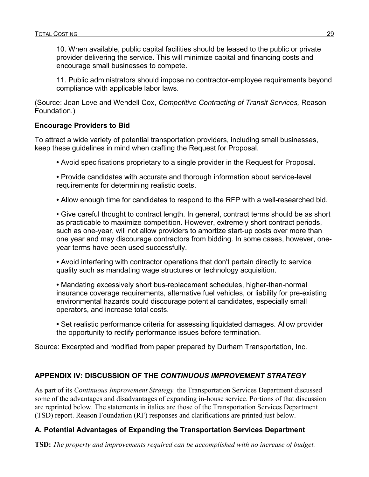10. When available, public capital facilities should be leased to the public or private provider delivering the service. This will minimize capital and financing costs and encourage small businesses to compete.

11. Public administrators should impose no contractor-employee requirements beyond compliance with applicable labor laws.

(Source: Jean Love and Wendell Cox, *Competitive Contracting of Transit Services,* Reason Foundation.)

#### **Encourage Providers to Bid**

To attract a wide variety of potential transportation providers, including small businesses, keep these guidelines in mind when crafting the Request for Proposal.

- **•** Avoid specifications proprietary to a single provider in the Request for Proposal.
- **•** Provide candidates with accurate and thorough information about service-level requirements for determining realistic costs.
- **•** Allow enough time for candidates to respond to the RFP with a well-researched bid.

• Give careful thought to contract length. In general, contract terms should be as short as practicable to maximize competition. However, extremely short contract periods, such as one-year, will not allow providers to amortize start-up costs over more than one year and may discourage contractors from bidding. In some cases, however, oneyear terms have been used successfully.

**•** Avoid interfering with contractor operations that don't pertain directly to service quality such as mandating wage structures or technology acquisition.

**•** Mandating excessively short bus-replacement schedules, higher-than-normal insurance coverage requirements, alternative fuel vehicles, or liability for pre-existing environmental hazards could discourage potential candidates, especially small operators, and increase total costs.

**•** Set realistic performance criteria for assessing liquidated damages. Allow provider the opportunity to rectify performance issues before termination.

Source: Excerpted and modified from paper prepared by Durham Transportation, Inc.

### **APPENDIX IV: DISCUSSION OF THE** *CONTINUOUS IMPROVEMENT STRATEGY*

As part of its *Continuous Improvement Strategy,* the Transportation Services Department discussed some of the advantages and disadvantages of expanding in-house service. Portions of that discussion are reprinted below. The statements in italics are those of the Transportation Services Department (TSD) report. Reason Foundation (RF) responses and clarifications are printed just below.

#### **A. Potential Advantages of Expanding the Transportation Services Department**

**TSD:** *The property and improvements required can be accomplished with no increase of budget.*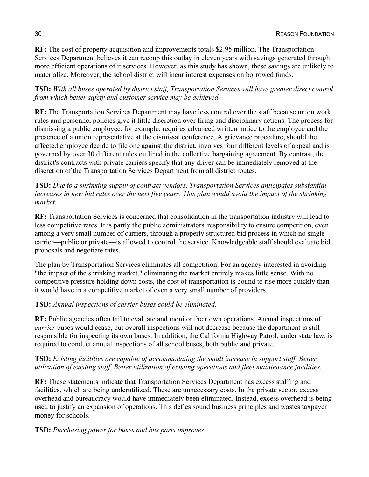**RF:** The cost of property acquisition and improvements totals \$2.95 million. The Transportation Services Department believes it can recoup this outlay in eleven years with savings generated through more efficient operations of it services. However, as this study has shown, these savings are unlikely to materialize. Moreover, the school district will incur interest expenses on borrowed funds.

**TSD:** *With all buses operated by district staff, Transportation Services will have greater direct control from which better safety and customer service may be achieved.*

**RF:** The Transportation Services Department may have less control over the staff because union work rules and personnel policies give it little discretion over firing and disciplinary actions. The process for dismissing a public employee, for example, requires advanced written notice to the employee and the presence of a union representative at the dismissal conference. A grievance procedure, should the affected employee decide to file one against the district, involves four different levels of appeal and is governed by over 30 different rules outlined in the collective bargaining agreement. By contrast, the district's contracts with private carriers specify that any driver can be immediately removed at the discretion of the Transportation Services Department from all district routes.

#### **TSD:** *Due to a shrinking supply of contract vendors, Transportation Services anticipates substantial increases in new bid rates over the next five years. This plan would avoid the impact of the shrinking market.*

**RF:** Transportation Services is concerned that consolidation in the transportation industry will lead to less competitive rates. It is partly the public administrators' responsibility to ensure competition, even among a very small number of carriers, through a properly structured bid process in which no single carrier—public or private—is allowed to control the service. Knowledgeable staff should evaluate bid proposals and negotiate rates.

The plan by Transportation Services eliminates all competition. For an agency interested in avoiding "the impact of the shrinking market," eliminating the market entirely makes little sense. With no competitive pressure holding down costs, the cost of transportation is bound to rise more quickly than it would have in a competitive market of even a very small number of providers.

#### **TSD:** *Annual inspections of carrier buses could be eliminated.*

**RF:** Public agencies often fail to evaluate and monitor their own operations. Annual inspections of *carrier* buses would cease, but overall inspections will not decrease because the department is still responsible for inspecting its own buses. In addition, the California Highway Patrol, under state law, is required to conduct annual inspections of all school buses, both public and private.

#### **TSD:** *Existing facilities are capable of accommodating the small increase in support staff. Better utilization of existing staff. Better utilization of existing operations and fleet maintenance facilities.*

**RF:** These statements indicate that Transportation Services Department has excess staffing and facilities, which are being underutilized. These are unnecessary costs. In the private sector, excess overhead and bureaucracy would have immediately been eliminated. Instead, excess overhead is being used to justify an expansion of operations. This defies sound business principles and wastes taxpayer money for schools.

#### **TSD:** *Purchasing power for buses and bus parts improves.*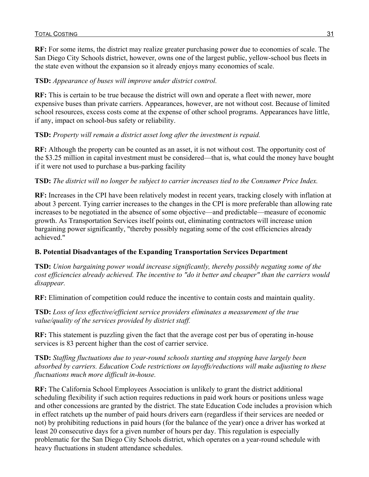**RF:** For some items, the district may realize greater purchasing power due to economies of scale. The San Diego City Schools district, however, owns one of the largest public, yellow-school bus fleets in the state even without the expansion so it already enjoys many economies of scale.

### **TSD:** *Appearance of buses will improve under district control.*

**RF:** This is certain to be true because the district will own and operate a fleet with newer, more expensive buses than private carriers. Appearances, however, are not without cost. Because of limited school resources, excess costs come at the expense of other school programs. Appearances have little, if any, impact on school-bus safety or reliability.

#### **TSD:** *Property will remain a district asset long after the investment is repaid.*

**RF:** Although the property can be counted as an asset, it is not without cost. The opportunity cost of the \$3.25 million in capital investment must be considered—that is, what could the money have bought if it were not used to purchase a bus-parking facility

#### **TSD:** *The district will no longer be subject to carrier increases tied to the Consumer Price Index.*

**RF:** Increases in the CPI have been relatively modest in recent years, tracking closely with inflation at about 3 percent. Tying carrier increases to the changes in the CPI is more preferable than allowing rate increases to be negotiated in the absence of some objective—and predictable—measure of economic growth. As Transportation Services itself points out, eliminating contractors will increase union bargaining power significantly, "thereby possibly negating some of the cost efficiencies already achieved."

### **B. Potential Disadvantages of the Expanding Transportation Services Department**

**TSD:** *Union bargaining power would increase significantly, thereby possibly negating some of the cost efficiencies already achieved. The incentive to "do it better and cheaper" than the carriers would disappear.*

**RF:** Elimination of competition could reduce the incentive to contain costs and maintain quality.

**TSD:** *Loss of less effective/efficient service providers eliminates a measurement of the true value/quality of the services provided by district staff.*

**RF:** This statement is puzzling given the fact that the average cost per bus of operating in-house services is 83 percent higher than the cost of carrier service.

**TSD:** *Staffing fluctuations due to year-round schools starting and stopping have largely been absorbed by carriers. Education Code restrictions on layoffs/reductions will make adjusting to these fluctuations much more difficult in-house.*

**RF:** The California School Employees Association is unlikely to grant the district additional scheduling flexibility if such action requires reductions in paid work hours or positions unless wage and other concessions are granted by the district. The state Education Code includes a provision which in effect ratchets up the number of paid hours drivers earn (regardless if their services are needed or not) by prohibiting reductions in paid hours (for the balance of the year) once a driver has worked at least 20 consecutive days for a given number of hours per day. This regulation is especially problematic for the San Diego City Schools district, which operates on a year-round schedule with heavy fluctuations in student attendance schedules.